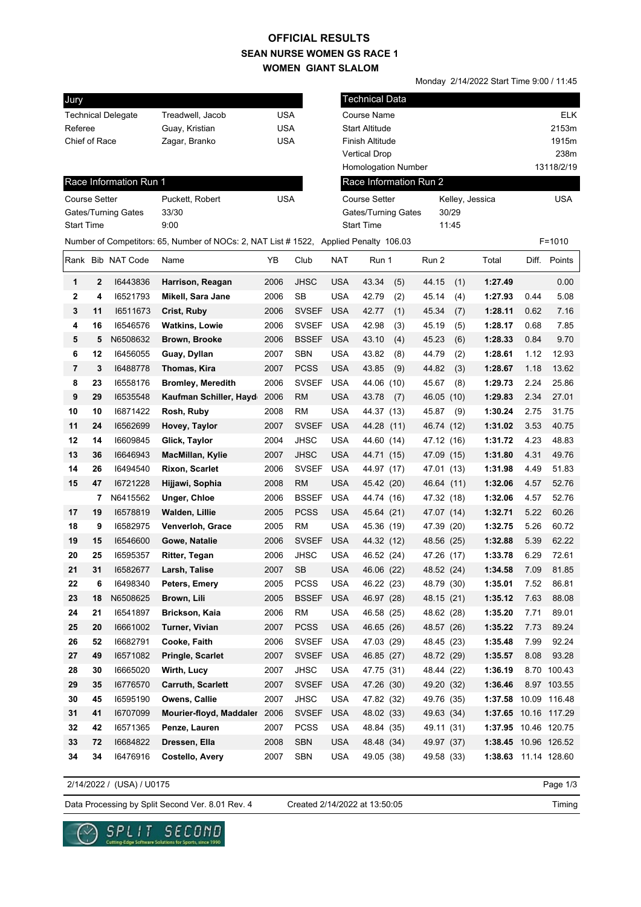## **SEAN NURSE WOMEN GS RACE 1 WOMEN GIANT SLALOM OFFICIAL RESULTS**

Monday 2/14/2022 Start Time 9:00 / 11:45 Technical Data Race Information Run 1 Jury Technical Delegate Treadwell, Jacob USA Referee **Guay, Kristian** USA Chief of Race Zagar, Branko USA Course Name **ELK** Start Altitude 2153m Finish Altitude 1915m Vertical Drop 238m Homologation Number 13118/2/19 Course Setter **Puckett, Robert USA** Gates/Turning Gates 33/30 Start Time 9:00 Kelley, Jessica USA Gates/Turning Gates 30/29 Start Time 11:45 Number of Competitors: 65, Number of NOCs: 2, NAT List # 1522, Applied Penalty 106.03 F=1010 Race Information Run 2 Course Setter Rank Bib NAT Code Name YB Club NAT Run 1 Run 2 Total Diff. Points **1 2** I6443836 **Harrison, Reagan** 2006 JHSC USA 43.34 (5) 44.15 (1) **1:27.49** 0.00 **2 4** I6521793 **Mikell, Sara Jane** 2006 SB USA 42.79 (2) 45.14 (4) **1:27.93** 0.44 5.08 **3 11** I6511673 **Crist, Ruby** 2006 SVSEF USA 42.77 (1) 45.34 (7) **1:28.11** 0.62 7.16 **4 16** I6546576 **Watkins, Lowie** 2006 SVSEF USA 42.98 (3) 45.19 (5) **1:28.17** 0.68 7.85 **5 5** N6508632 **Brown, Brooke** 2006 BSSEF USA 43.10 (4) 45.23 (6) **1:28.33** 0.84 9.70 **6 12** I6456055 **Guay, Dyllan** 2007 SBN USA 43.82 (8) 44.79 (2) **1:28.61** 1.12 12.93 **7 3** I6488778 **Thomas, Kira** 2007 PCSS USA 43.85 (9) 44.82 (3) **1:28.67** 1.18 13.62 **8 23** I6558176 **Bromley, Meredith** 2006 SVSEF USA 44.06 (10) 45.67 (8) **1:29.73** 2.24 25.86 **9 29** I6535548 **Kaufman Schiller, Hayden**2006 RM USA 43.78 (7) 46.05 (10) **1:29.83** 2.34 27.01 **10 10** I6871422 **Rosh, Ruby** 2008 RM USA 44.37 (13) 45.87 (9) **1:30.24** 2.75 31.75 **11 24** I6562699 **Hovey, Taylor** 2007 SVSEF USA 44.28 (11) 46.74 (12) **1:31.02** 3.53 40.75 **12 14** I6609845 **Glick, Taylor** 2004 JHSC USA 44.60 (14) 47.12 (16) **1:31.72** 4.23 48.83 **13 36** I6646943 **MacMillan, Kylie** 2007 JHSC USA 44.71 (15) 47.09 (15) **1:31.80** 4.31 49.76 **14 26** I6494540 **Rixon, Scarlet** 2006 SVSEF USA 44.97 (17) 47.01 (13) **1:31.98** 4.49 51.83 **15 47** I6721228 **Hijjawi, Sophia** 2008 RM USA 45.42 (20) 46.64 (11) **1:32.06** 4.57 52.76  **7** N6415562 **Unger, Chloe** 2006 BSSEF USA 44.74 (16) 47.32 (18) **1:32.06** 4.57 52.76 **17 19** I6578819 **Walden, Lillie** 2005 PCSS USA 45.64 (21) 47.07 (14) **1:32.71** 5.22 60.26 **18 9** I6582975 **Venverloh, Grace** 2005 RM USA 45.36 (19) 47.39 (20) **1:32.75** 5.26 60.72 **19 15** I6546600 **Gowe, Natalie** 2006 SVSEF USA 44.32 (12) 48.56 (25) **1:32.88** 5.39 62.22 **20 25** I6595357 **Ritter, Tegan** 2006 JHSC USA 46.52 (24) 47.26 (17) **1:33.78** 6.29 72.61 **21 31** I6582677 **Larsh, Talise** 2007 SB USA 46.06 (22) 48.52 (24) **1:34.58** 7.09 81.85 **22 6** I6498340 **Peters, Emery** 2005 PCSS USA 46.22 (23) 48.79 (30) **1:35.01** 7.52 86.81 **23 18** N6508625 **Brown, Lili** 2005 BSSEF USA 46.97 (28) 48.15 (21) **1:35.12** 7.63 88.08 **24 21** I6541897 **Brickson, Kaia** 2006 RM USA 46.58 (25) 48.62 (28) **1:35.20** 7.71 89.01 **25 20** I6661002 **Turner, Vivian** 2007 PCSS USA 46.65 (26) 48.57 (26) **1:35.22** 7.73 89.24 **26 52** I6682791 **Cooke, Faith** 2006 SVSEF USA 47.03 (29) 48.45 (23) **1:35.48** 7.99 92.24 **27 49** I6571082 **Pringle, Scarlet** 2007 SVSEF USA 46.85 (27) 48.72 (29) **1:35.57** 8.08 93.28 **28 30** I6665020 **Wirth, Lucy** 2007 JHSC USA 47.75 (31) 48.44 (22) **1:36.19** 8.70 100.43 **29 35** I6776570 **Carruth, Scarlett** 2007 SVSEF USA 47.26 (30) 49.20 (32) **1:36.46** 8.97 103.55 **30 45** I6595190 **Owens, Callie** 2007 JHSC USA 47.82 (32) 49.76 (35) **1:37.58** 10.09 116.48 **31 41** I6707099 **Mourier-floyd, Maddalena**2006 SVSEF USA 48.02 (33) 49.63 (34) **1:37.65** 10.16 117.29 **32 42** I6571365 **Penze, Lauren** 2007 PCSS USA 48.84 (35) 49.11 (31) **1:37.95** 10.46 120.75 **33 72** I6684822 **Dressen, Ella** 2008 SBN USA 48.48 (34) 49.97 (37) **1:38.45** 10.96 126.52 **34 34** I6476916 **Costello, Avery** 2007 SBN USA 49.05 (38) 49.58 (33) **1:38.63** 11.14 128.60

2/14/2022 / (USA) / U0175

Page 1/3

Data Processing by Split Second Ver. 8.01 Rev. 4 Created 2/14/2022 at 13:50:05

SECOND

Created 2/14/2022 at 13:50:05

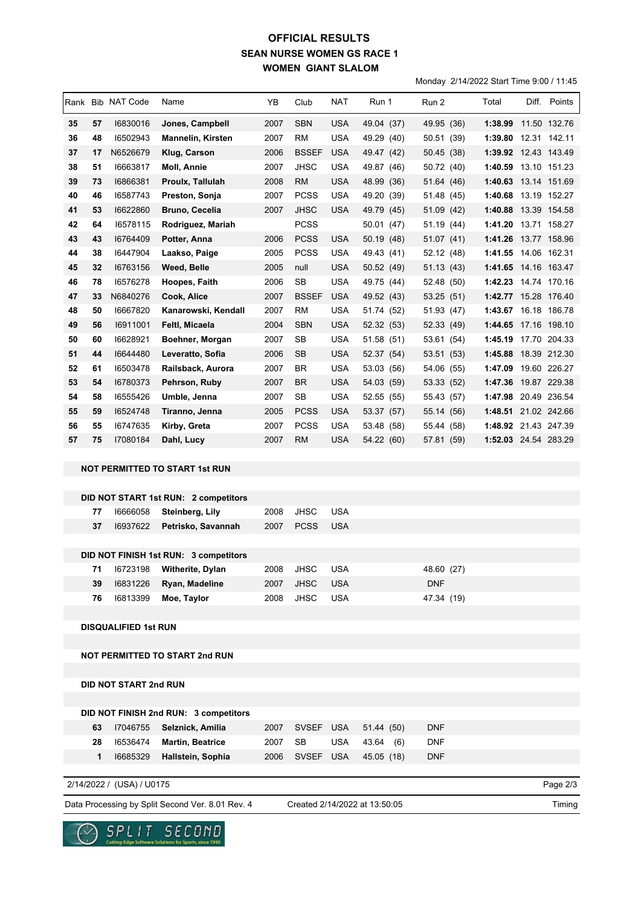## **SEAN NURSE WOMEN GS RACE 1 WOMEN GIANT SLALOM OFFICIAL RESULTS**

Monday 2/14/2022 Start Time 9:00 / 11:45

|    |    | Rank Bib NAT Code            | Name                                  | YB   | Club         | NAT        | Run 1      | Run 2      |  | Total                |  | Diff. Points |
|----|----|------------------------------|---------------------------------------|------|--------------|------------|------------|------------|--|----------------------|--|--------------|
| 35 | 57 | 16830016                     | Jones, Campbell                       | 2007 | <b>SBN</b>   | <b>USA</b> | 49.04 (37) | 49.95 (36) |  | 1:38.99              |  | 11.50 132.76 |
| 36 | 48 | 16502943                     | <b>Mannelin, Kirsten</b>              | 2007 | <b>RM</b>    | <b>USA</b> | 49.29 (40) | 50.51 (39) |  | 1:39.80 12.31 142.11 |  |              |
| 37 | 17 | N6526679                     | Klug, Carson                          | 2006 | <b>BSSEF</b> | <b>USA</b> | 49.47 (42) | 50.45 (38) |  | 1:39.92 12.43 143.49 |  |              |
| 38 | 51 | 16663817                     | Moll, Annie                           | 2007 | <b>JHSC</b>  | USA        | 49.87 (46) | 50.72 (40) |  | 1:40.59 13.10 151.23 |  |              |
| 39 | 73 | 16866381                     | Proulx, Tallulah                      | 2008 | <b>RM</b>    | <b>USA</b> | 48.99 (36) | 51.64 (46) |  | 1:40.63 13.14 151.69 |  |              |
| 40 | 46 | 16587743                     | Preston, Sonja                        | 2007 | <b>PCSS</b>  | <b>USA</b> | 49.20 (39) | 51.48 (45) |  | 1:40.68              |  | 13.19 152.27 |
| 41 | 53 | 16622860                     | <b>Bruno, Cecelia</b>                 | 2007 | <b>JHSC</b>  | USA        | 49.79 (45) | 51.09 (42) |  | 1:40.88 13.39 154.58 |  |              |
| 42 | 64 | 16578115                     | Rodriguez, Mariah                     |      | <b>PCSS</b>  |            | 50.01 (47) | 51.19 (44) |  | 1:41.20              |  | 13.71 158.27 |
| 43 | 43 | 16764409                     | Potter, Anna                          | 2006 | <b>PCSS</b>  | <b>USA</b> | 50.19 (48) | 51.07 (41) |  | 1:41.26 13.77 158.96 |  |              |
| 44 | 38 | 16447904                     | Laakso, Paige                         | 2005 | <b>PCSS</b>  | <b>USA</b> | 49.43 (41) | 52.12 (48) |  | 1:41.55 14.06 162.31 |  |              |
| 45 | 32 | 16763156                     | Weed, Belle                           | 2005 | null         | <b>USA</b> | 50.52 (49) | 51.13(43)  |  | 1:41.65 14.16 163.47 |  |              |
| 46 | 78 | 16576278                     | Hoopes, Faith                         | 2006 | SB           | <b>USA</b> | 49.75 (44) | 52.48 (50) |  | 1:42.23 14.74 170.16 |  |              |
| 47 | 33 | N6840276                     | Cook, Alice                           | 2007 | <b>BSSEF</b> | <b>USA</b> | 49.52 (43) | 53.25 (51) |  | 1:42.77 15.28 176.40 |  |              |
| 48 | 50 | 16667820                     | Kanarowski, Kendall                   | 2007 | RM           | USA        | 51.74 (52) | 51.93 (47) |  | 1:43.67 16.18 186.78 |  |              |
| 49 | 56 | 16911001                     | Feltl, Micaela                        | 2004 | <b>SBN</b>   | <b>USA</b> | 52.32 (53) | 52.33 (49) |  | 1:44.65 17.16 198.10 |  |              |
| 50 | 60 | 16628921                     | Boehner, Morgan                       | 2007 | SB           | <b>USA</b> | 51.58 (51) | 53.61 (54) |  | 1:45.19 17.70 204.33 |  |              |
| 51 | 44 | 16644480                     | Leveratto, Sofia                      | 2006 | SB           | <b>USA</b> | 52.37 (54) | 53.51 (53) |  | 1:45.88              |  | 18.39 212.30 |
| 52 | 61 | 16503478                     | Railsback, Aurora                     | 2007 | <b>BR</b>    | <b>USA</b> | 53.03 (56) | 54.06 (55) |  | 1:47.09 19.60 226.27 |  |              |
| 53 | 54 | 16780373                     | Pehrson, Ruby                         | 2007 | <b>BR</b>    | <b>USA</b> | 54.03 (59) | 53.33 (52) |  | 1:47.36 19.87 229.38 |  |              |
| 54 | 58 | 16555426                     | Umble, Jenna                          | 2007 | SB           | <b>USA</b> | 52.55 (55) | 55.43 (57) |  | 1:47.98 20.49 236.54 |  |              |
| 55 | 59 | 16524748                     | Tiranno, Jenna                        | 2005 | <b>PCSS</b>  | <b>USA</b> | 53.37 (57) | 55.14 (56) |  | 1:48.51 21.02 242.66 |  |              |
| 56 | 55 | 16747635                     | Kirby, Greta                          | 2007 | <b>PCSS</b>  | <b>USA</b> | 53.48 (58) | 55.44 (58) |  | 1:48.92 21.43 247.39 |  |              |
| 57 | 75 | 17080184                     | Dahl, Lucy                            | 2007 | RM           | USA        | 54.22 (60) | 57.81 (59) |  | 1:52.03 24.54 283.29 |  |              |
|    |    |                              | <b>NOT PERMITTED TO START 1st RUN</b> |      |              |            |            |            |  |                      |  |              |
|    |    |                              |                                       |      |              |            |            |            |  |                      |  |              |
|    |    |                              | DID NOT START 1st RUN: 2 competitors  |      |              |            |            |            |  |                      |  |              |
|    | 77 | 16666058                     | Steinberg, Lily                       | 2008 | <b>JHSC</b>  | <b>USA</b> |            |            |  |                      |  |              |
|    | 37 | 16937622                     | Petrisko, Savannah                    | 2007 | <b>PCSS</b>  | <b>USA</b> |            |            |  |                      |  |              |
|    |    |                              |                                       |      |              |            |            |            |  |                      |  |              |
|    |    |                              | DID NOT FINISH 1st RUN: 3 competitors |      |              |            |            |            |  |                      |  |              |
|    | 71 | 16723198                     | Witherite, Dylan                      | 2008 | <b>JHSC</b>  | <b>USA</b> |            | 48.60 (27) |  |                      |  |              |
|    | 39 | 16831226                     | Ryan, Madeline                        | 2007 | <b>JHSC</b>  | <b>USA</b> |            | <b>DNF</b> |  |                      |  |              |
|    | 76 | 16813399                     | Moe, Taylor                           | 2008 | <b>JHSC</b>  | <b>USA</b> |            | 47.34 (19) |  |                      |  |              |
|    |    |                              |                                       |      |              |            |            |            |  |                      |  |              |
|    |    | <b>DISQUALIFIED 1st RUN</b>  |                                       |      |              |            |            |            |  |                      |  |              |
|    |    |                              |                                       |      |              |            |            |            |  |                      |  |              |
|    |    |                              | <b>NOT PERMITTED TO START 2nd RUN</b> |      |              |            |            |            |  |                      |  |              |
|    |    |                              |                                       |      |              |            |            |            |  |                      |  |              |
|    |    | <b>DID NOT START 2nd RUN</b> |                                       |      |              |            |            |            |  |                      |  |              |
|    |    |                              |                                       |      |              |            |            |            |  |                      |  |              |
|    |    |                              | DID NOT FINISH 2nd RUN: 3 competitors |      |              |            |            |            |  |                      |  |              |
|    | 63 | 17046755                     | Selznick, Amilia                      | 2007 | <b>SVSEF</b> | <b>USA</b> | 51.44 (50) | <b>DNF</b> |  |                      |  |              |
|    | 28 | 16536474                     | <b>Martin, Beatrice</b>               | 2007 | <b>SB</b>    | <b>USA</b> | 43.64 (6)  | <b>DNF</b> |  |                      |  |              |
|    | 1  | 16685329                     | Hallstein, Sophia                     | 2006 | <b>SVSEF</b> | <b>USA</b> | 45.05 (18) | <b>DNF</b> |  |                      |  |              |
|    |    | 2/14/2022 / (USA) / U0175    |                                       |      |              |            |            |            |  |                      |  | Page 2/3     |
|    |    |                              |                                       |      |              |            |            |            |  |                      |  |              |

Created 2/14/2022 at 13:50:05

Data Processing by Split Second Ver. 8.01 Rev. 4 Created 2/14/2022 at 13:50:05